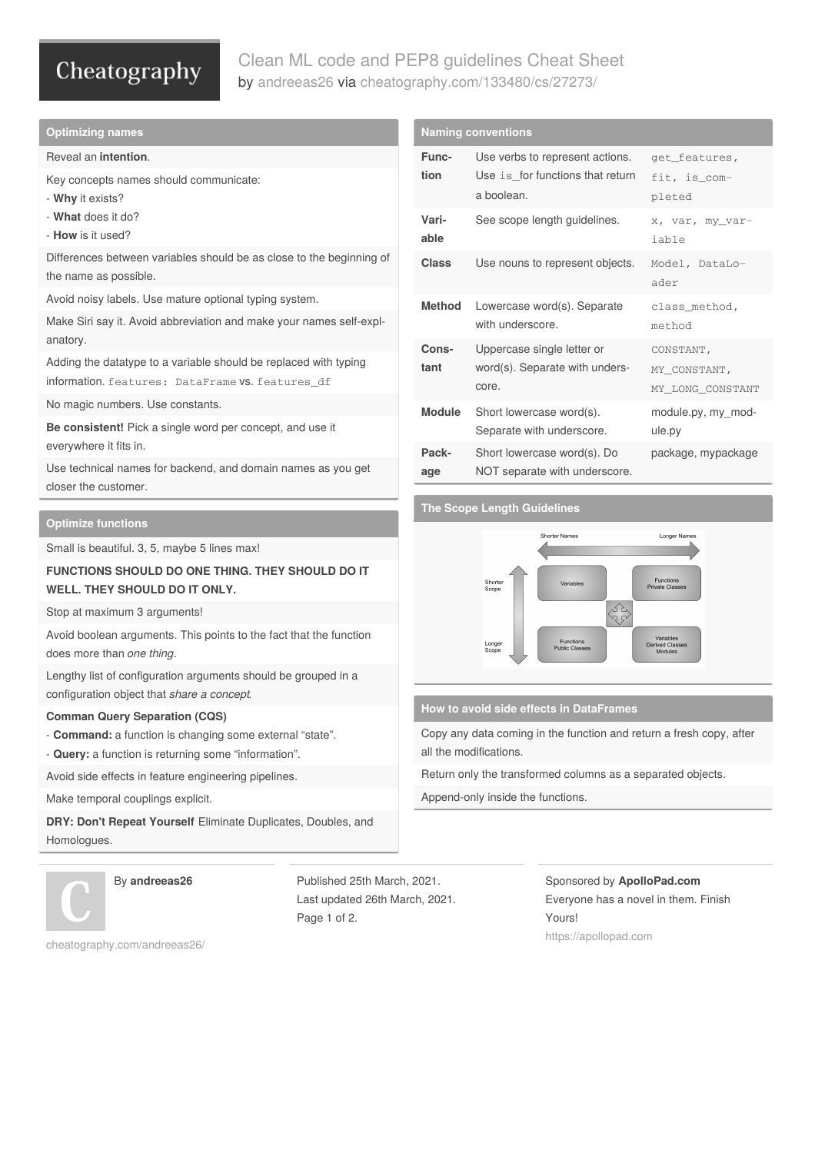# Cheatography

# Clean ML code and PEP8 guidelines Cheat Sheet by [andreeas26](http://www.cheatography.com/andreeas26/) via [cheatography.com/133480/cs/27273/](http://www.cheatography.com/andreeas26/cheat-sheets/clean-ml-code-and-pep8-guidelines)

### **Optimizing names**

### Reveal an **intention**.

Key concepts names should communicate:

- **Why** it exists?
- **What** does it do?
- **How** is it used?

Differences between variables should be as close to the beginning of the name as possible.

Avoid noisy labels. Use mature optional typing system.

Make Siri say it. Avoid abbreviation and make your names self-expl‐ anatory.

Adding the datatype to a variable should be replaced with typing information. features: DataFrame vs. features\_df

No magic numbers. Use constants.

**Be consistent!** Pick a single word per concept, and use it everywhere it fits in.

Use technical names for backend, and domain names as you get closer the customer.

# **Optimize functions**

Small is beautiful. 3, 5, maybe 5 lines max!

# **FUNCTIONS SHOULD DO ONE THING. THEY SHOULD DO IT WELL. THEY SHOULD DO IT ONLY.**

Stop at maximum 3 arguments!

Avoid boolean arguments. This points to the fact that the function does more than *one thing*.

Lengthy list of configuration arguments should be grouped in a configuration object that *share a concept*.

### **Comman Query Separation (CQS)**

- **Command:** a function is changing some external "state".
- **Query:** a function is returning some "information".

Avoid side effects in feature engineering pipelines.

Make temporal couplings explicit.

**DRY: Don't Repeat Yourself** Eliminate Duplicates, Doubles, and Homologues.



By **andreeas26**

Published 25th March, 2021. Last updated 26th March, 2021. Page 1 of 2.

**Naming conventions Func‐ tion** Use verbs to represent actions. Use is for functions that return a boolean. get\_features, fit, is\_com‐ pleted **Vari‐ able** See scope length guidelines.  $x, \text{var}, \text{my\_var}$ iable Class Use nouns to represent objects. Model, DataLoader **Method** Lowercase word(s). Separate with underscore. class\_method, method **Cons‐ tant** Uppercase single letter or word(s). Separate with underscore. CONSTANT, MY\_CONSTANT, MY\_LONG\_CONSTANT **Module** Short lowercase word(s). Separate with underscore. module.py, my\_mod‐ ule.py **Pack‐ age** Short lowercase word(s). Do NOT separate with underscore. package, mypackage

# **The Scope Length Guidelines**



### **How to avoid side effects in DataFrames**

Copy any data coming in the function and return a fresh copy, after all the modifications.

Return only the transformed columns as a separated objects.

Append-only inside the functions.

Sponsored by **ApolloPad.com** Everyone has a novel in them. Finish Yours! <https://apollopad.com>

[cheatography.com/andreeas26/](http://www.cheatography.com/andreeas26/)